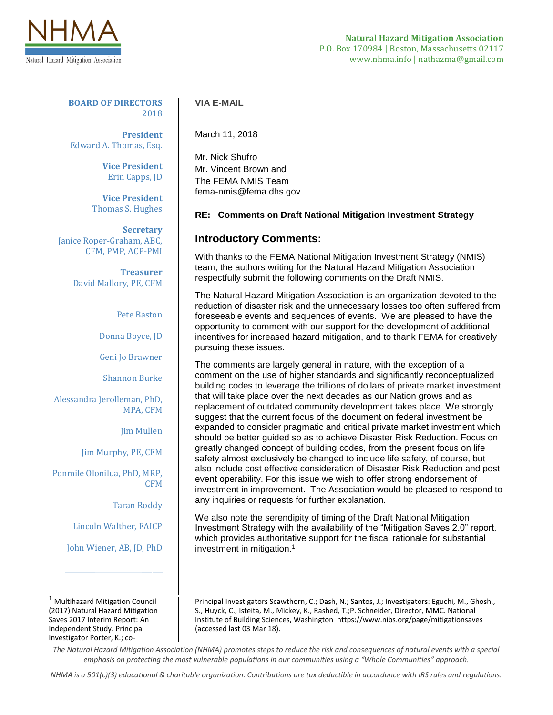

**BOARD OF DIRECTORS** 2018

**President** Edward A. Thomas, Esq.

> **Vice President** Erin Capps, JD

**Vice President** Thomas S. Hughes

**Secretary** Janice Roper-Graham, ABC, CFM, PMP, ACP-PMI

> **Treasurer** David Mallory, PE, CFM

> > Pete Baston

Donna Boyce, JD

Geni Jo Brawner

Shannon Burke

Alessandra Jerolleman, PhD, MPA, CFM

Jim Mullen

Jim Murphy, PE, CFM

Ponmile Olonilua, PhD, MRP, CFM

Taran Roddy

Lincoln Walther, FAICP

John Wiener, AB, JD, PhD

\_\_\_\_\_\_\_\_\_\_\_\_\_\_\_\_\_\_\_\_\_\_\_\_\_\_\_\_\_

 $\overline{\phantom{a}}$  $<sup>1</sup>$  Multihazard Mitigation Council</sup> (2017) Natural Hazard Mitigation Saves 2017 Interim Report: An Independent Study. Principal Investigator Porter, K.; co-

## **VIA E-MAIL**

March 11, 2018

Mr. Nick Shufro Mr. Vincent Brown and The FEMA NMIS Team [fema-nmis@fema.dhs.gov](mailto:fema-nmis@fema.dhs.gov)

## **RE: Comments on Draft National Mitigation Investment Strategy**

## **Introductory Comments:**

With thanks to the FEMA National Mitigation Investment Strategy (NMIS) team, the authors writing for the Natural Hazard Mitigation Association respectfully submit the following comments on the Draft NMIS.

The Natural Hazard Mitigation Association is an organization devoted to the reduction of disaster risk and the unnecessary losses too often suffered from foreseeable events and sequences of events. We are pleased to have the opportunity to comment with our support for the development of additional incentives for increased hazard mitigation, and to thank FEMA for creatively pursuing these issues.

The comments are largely general in nature, with the exception of a comment on the use of higher standards and significantly reconceptualized building codes to leverage the trillions of dollars of private market investment that will take place over the next decades as our Nation grows and as replacement of outdated community development takes place. We strongly suggest that the current focus of the document on federal investment be expanded to consider pragmatic and critical private market investment which should be better guided so as to achieve Disaster Risk Reduction. Focus on greatly changed concept of building codes, from the present focus on life safety almost exclusively be changed to include life safety, of course, but also include cost effective consideration of Disaster Risk Reduction and post event operability. For this issue we wish to offer strong endorsement of investment in improvement. The Association would be pleased to respond to any inquiries or requests for further explanation.

We also note the serendipity of timing of the Draft National Mitigation Investment Strategy with the availability of the "Mitigation Saves 2.0" report, which provides authoritative support for the fiscal rationale for substantial investment in mitigation.<sup>1</sup>

Principal Investigators Scawthorn, C.; Dash, N.; Santos, J.; Investigators: Eguchi, M., Ghosh., S., Huyck, C., Isteita, M., Mickey, K., Rashed, T.;P. Schneider, Director, MMC. National Institute of Building Sciences, Washington https://www.nibs.org/page/mitigationsaves (accessed last 03 Mar 18).

*The Natural Hazard Mitigation Association (NHMA) promotes steps to reduce the risk and consequences of natural events with a special emphasis on protecting the most vulnerable populations in our communities using a "Whole Communities" approach.*

*NHMA is a 501(c)(3) educational & charitable organization. Contributions are tax deductible in accordance with IRS rules and regulations.*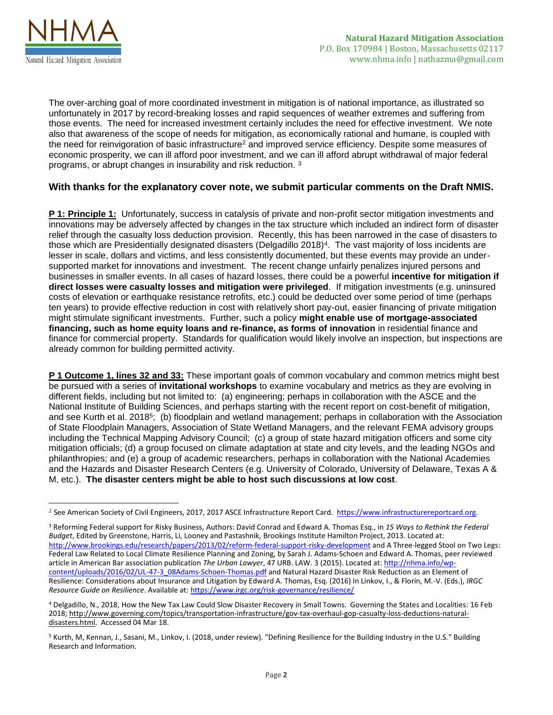

 $\overline{\phantom{a}}$ 

The over-arching goal of more coordinated investment in mitigation is of national importance, as illustrated so unfortunately in 2017 by record-breaking losses and rapid sequences of weather extremes and suffering from those events. The need for increased investment certainly includes the need for effective investment. We note also that awareness of the scope of needs for mitigation, as economically rational and humane, is coupled with the need for reinvigoration of basic infrastructure<sup>2</sup> and improved service efficiency. Despite some measures of economic prosperity, we can ill afford poor investment, and we can ill afford abrupt withdrawal of major federal programs, or abrupt changes in insurability and risk reduction. <sup>3</sup>

## **With thanks for the explanatory cover note, we submit particular comments on the Draft NMIS.**

**P 1: Principle 1:** Unfortunately, success in catalysis of private and non-profit sector mitigation investments and innovations may be adversely affected by changes in the tax structure which included an indirect form of disaster relief through the casualty loss deduction provision. Recently, this has been narrowed in the case of disasters to those which are Presidentially designated disasters (Delgadillo 2018)<sup>4</sup> . The vast majority of loss incidents are lesser in scale, dollars and victims, and less consistently documented, but these events may provide an undersupported market for innovations and investment. The recent change unfairly penalizes injured persons and businesses in smaller events. In all cases of hazard losses, there could be a powerful **incentive for mitigation if direct losses were casualty losses and mitigation were privileged**. If mitigation investments (e.g. uninsured costs of elevation or earthquake resistance retrofits, etc.) could be deducted over some period of time (perhaps ten years) to provide effective reduction in cost with relatively short pay-out, easier financing of private mitigation might stimulate significant investments. Further, such a policy **might enable use of mortgage-associated financing, such as home equity loans and re-finance, as forms of innovation** in residential finance and finance for commercial property. Standards for qualification would likely involve an inspection, but inspections are already common for building permitted activity.

**P 1 Outcome 1, lines 32 and 33:** These important goals of common vocabulary and common metrics might best be pursued with a series of **invitational workshops** to examine vocabulary and metrics as they are evolving in different fields, including but not limited to: (a) engineering; perhaps in collaboration with the ASCE and the National Institute of Building Sciences, and perhaps starting with the recent report on cost-benefit of mitigation, and see Kurth et al. 2018<sup>5</sup>; (b) floodplain and wetland management; perhaps in collaboration with the Association of State Floodplain Managers, Association of State Wetland Managers, and the relevant FEMA advisory groups including the Technical Mapping Advisory Council; (c) a group of state hazard mitigation officers and some city mitigation officials; (d) a group focused on climate adaptation at state and city levels, and the leading NGOs and philanthropies; and (e) a group of academic researchers, perhaps in collaboration with the National Academies and the Hazards and Disaster Research Centers (e.g. University of Colorado, University of Delaware, Texas A & M, etc.). **The disaster centers might be able to host such discussions at low cost**.

<sup>2</sup> See American Society of Civil Engineers, 2017, 2017 ASCE Infrastructure Report Card. [https://www.infrastructurereportcard.org.](https://www.infrastructurereportcard.org/)

<sup>3</sup> Reforming Federal support for Risky Business, Authors: David Conrad and Edward A. Thomas Esq., in *15 Ways to Rethink the Federal Budget*, Edited by Greenstone, Harris, Li, Looney and Pastashnik, Brookings Institute Hamilton Project, 2013. Located at: [http://www.brookings.edu/research/papers/2013/02/reform-federal-support-risky-development](http://www.linkedin.com/redirect?url=http%3A%2F%2Fwww%2Ebrookings%2Eedu%2Fresearch%2Fpapers%2F2013%2F02%2Freform-federal-support-risky-development&urlhash=2LPL&_t=tracking_disc) and A Three-legged Stool on Two Legs: Federal Law Related to Local Climate Resilience Planning and Zoning, by Sarah J. Adams-Schoen and Edward A. Thomas, peer reviewed article in American Bar association publication *The Urban Lawyer*, 47 URB. LAW. 3 (2015). Located at[: http://nhma.info/wp](http://secure-web.cisco.com/1peTKiRnuUkrdqI6csq43NswBLCiOvZ1VdAV5seYQUkJJhhyj039c39cvci8CBO4ydLhAAYfzcQT3r3y_m8dGKReGaXnDDGAS5fHQgYf4-JLZ53XLE6yLVxdoKMCYUGSAzMK1aiNgfmPr6c0mkipTKvfws4tYX7DPJOOOY4FTeQOlpXIL-poHWX4DLWO_dRHV86ZcHIe3aezcEXF1AEQkGsXRkkd_qzBfzsh93EA0SlvX1R2Y6CrRkB-tjuk6GPcYx1NX7060OoQnbkS_7yyalARPzXsZ-kYts5pEwY62PAyXM8k6_fuLSwp2M9ER0jtnAflCzV4qzdXIf7T0T4Wi3c3b0oCwZKmwVTzr3aFjGF7ToPMSvF6DxW0uu9hpyreMUNt3odV3RcAFt8U6CpIZO0hUYakpELDqhBONBUtkkht55h_iKuMHW6FRj9me2g87OHy4e8o6-75Tzvlh1SFYOQ/http%3A%2F%2Fnhma.info%2Fwp-content%2Fuploads%2F2016%2F02%2FUL-47-3_08Adams-Schoen-Thomas.pdf)[content/uploads/2016/02/UL-47-3\\_08Adams-Schoen-Thomas.pdf](http://secure-web.cisco.com/1peTKiRnuUkrdqI6csq43NswBLCiOvZ1VdAV5seYQUkJJhhyj039c39cvci8CBO4ydLhAAYfzcQT3r3y_m8dGKReGaXnDDGAS5fHQgYf4-JLZ53XLE6yLVxdoKMCYUGSAzMK1aiNgfmPr6c0mkipTKvfws4tYX7DPJOOOY4FTeQOlpXIL-poHWX4DLWO_dRHV86ZcHIe3aezcEXF1AEQkGsXRkkd_qzBfzsh93EA0SlvX1R2Y6CrRkB-tjuk6GPcYx1NX7060OoQnbkS_7yyalARPzXsZ-kYts5pEwY62PAyXM8k6_fuLSwp2M9ER0jtnAflCzV4qzdXIf7T0T4Wi3c3b0oCwZKmwVTzr3aFjGF7ToPMSvF6DxW0uu9hpyreMUNt3odV3RcAFt8U6CpIZO0hUYakpELDqhBONBUtkkht55h_iKuMHW6FRj9me2g87OHy4e8o6-75Tzvlh1SFYOQ/http%3A%2F%2Fnhma.info%2Fwp-content%2Fuploads%2F2016%2F02%2FUL-47-3_08Adams-Schoen-Thomas.pdf) and Natural Hazard Disaster Risk Reduction as an Element of Resilience: Considerations about Insurance and Litigation by Edward A. Thomas, Esq. (2016) In Linkov, I., & Florin, M.-V. (Eds.), *IRGC Resource Guide on Resilience*. Available at: [https://www.irgc.org/risk-governance/resilience/](https://secure-web.cisco.com/18QbI2KNZsvITdwCU5WAY-XmlABIak_HJPNSAgTX4Y-HNhWVV_3knJfRd9msWTpT1X-fn3gI_tQVXrjzgKm2fN6id6SKEDlS6tTvaaKIAQQ7Bv_h7C1JvTpD7-75XS90Vcq8lXYA08EB7ODlce1R56xatLzAeT_kDiNJtkpWGRSw0WCAPDyNTW_DEqIuje7OcDbV0UyS7yUnvOISVr2Bj0cuOM4bHEcaJYCCnMi8uI7BDfk-VVKnRL7wsxXxUW9Q963w7AE-xB-EYVKhFX3Jr_dFbO-X64m92oaaplkKXZd3XujphpPQr1n2_st72PvLBSFESk69A_oG9we0pymDo5-hTSkldMZ63k3DnkV6Zn89HTffgQ7A8BKRL1_qkjH0pGLw9lw1FuNbcZMKw6vM7zDVr2SRg-cnUa5Cr-8-V-3IITkt2uICIE4wD-VKpSr6wdRtkhY6Nxibv2ARFIV_3iA/https%3A%2F%2Fwww.irgc.org%2Frisk-governance%2Fresilience%2F)

<sup>4</sup> Delgadillo, N., 2018, How the New Tax Law Could Slow Disaster Recovery in Small Towns. Governing the States and Localities: 16 Feb 2018[; http://www.governing.com/topics/transportation-infrastructure/gov-tax-overhaul-gop-casualty-loss-deductions-natural](http://www.governing.com/topics/transportation-infrastructure/gov-tax-overhaul-gop-casualty-loss-deductions-natural-disasters.html)[disasters.html.](http://www.governing.com/topics/transportation-infrastructure/gov-tax-overhaul-gop-casualty-loss-deductions-natural-disasters.html) Accessed 04 Mar 18.

<sup>5</sup> Kurth, M, Kennan, J., Sasani, M., Linkov, I. (2018, under review). "Defining Resilience for the Building Industry in the U.S." Building Research and Information.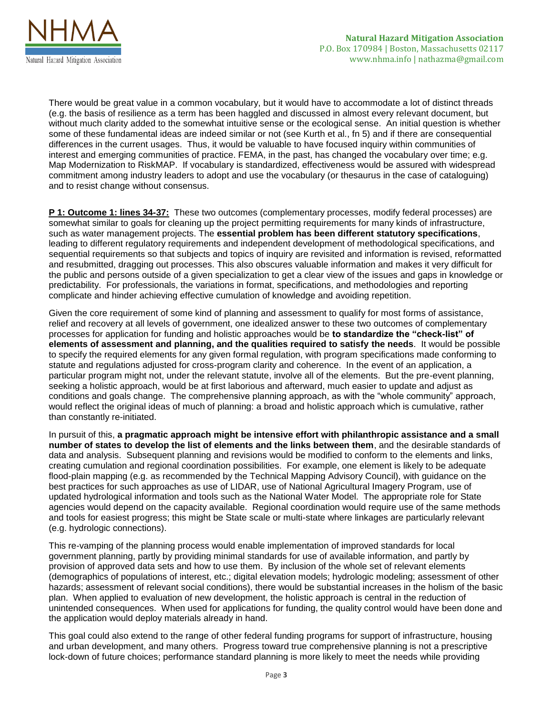

There would be great value in a common vocabulary, but it would have to accommodate a lot of distinct threads (e.g. the basis of resilience as a term has been haggled and discussed in almost every relevant document, but without much clarity added to the somewhat intuitive sense or the ecological sense. An initial question is whether some of these fundamental ideas are indeed similar or not (see Kurth et al., fn 5) and if there are consequential differences in the current usages. Thus, it would be valuable to have focused inquiry within communities of interest and emerging communities of practice. FEMA, in the past, has changed the vocabulary over time; e.g. Map Modernization to RiskMAP. If vocabulary is standardized, effectiveness would be assured with widespread commitment among industry leaders to adopt and use the vocabulary (or thesaurus in the case of cataloguing) and to resist change without consensus.

**P 1: Outcome 1: lines 34-37:** These two outcomes (complementary processes, modify federal processes) are somewhat similar to goals for cleaning up the project permitting requirements for many kinds of infrastructure, such as water management projects. The **essential problem has been different statutory specifications**, leading to different regulatory requirements and independent development of methodological specifications, and sequential requirements so that subjects and topics of inquiry are revisited and information is revised, reformatted and resubmitted, dragging out processes. This also obscures valuable information and makes it very difficult for the public and persons outside of a given specialization to get a clear view of the issues and gaps in knowledge or predictability. For professionals, the variations in format, specifications, and methodologies and reporting complicate and hinder achieving effective cumulation of knowledge and avoiding repetition.

Given the core requirement of some kind of planning and assessment to qualify for most forms of assistance, relief and recovery at all levels of government, one idealized answer to these two outcomes of complementary processes for application for funding and holistic approaches would be **to standardize the "check-list" of elements of assessment and planning, and the qualities required to satisfy the needs**. It would be possible to specify the required elements for any given formal regulation, with program specifications made conforming to statute and regulations adjusted for cross-program clarity and coherence. In the event of an application, a particular program might not, under the relevant statute, involve all of the elements. But the pre-event planning, seeking a holistic approach, would be at first laborious and afterward, much easier to update and adjust as conditions and goals change. The comprehensive planning approach, as with the "whole community" approach, would reflect the original ideas of much of planning: a broad and holistic approach which is cumulative, rather than constantly re-initiated.

In pursuit of this, **a pragmatic approach might be intensive effort with philanthropic assistance and a small number of states to develop the list of elements and the links between them**, and the desirable standards of data and analysis. Subsequent planning and revisions would be modified to conform to the elements and links, creating cumulation and regional coordination possibilities. For example, one element is likely to be adequate flood-plain mapping (e.g. as recommended by the Technical Mapping Advisory Council), with guidance on the best practices for such approaches as use of LIDAR, use of National Agricultural Imagery Program, use of updated hydrological information and tools such as the National Water Model. The appropriate role for State agencies would depend on the capacity available. Regional coordination would require use of the same methods and tools for easiest progress; this might be State scale or multi-state where linkages are particularly relevant (e.g. hydrologic connections).

This re-vamping of the planning process would enable implementation of improved standards for local government planning, partly by providing minimal standards for use of available information, and partly by provision of approved data sets and how to use them. By inclusion of the whole set of relevant elements (demographics of populations of interest, etc.; digital elevation models; hydrologic modeling; assessment of other hazards; assessment of relevant social conditions), there would be substantial increases in the holism of the basic plan. When applied to evaluation of new development, the holistic approach is central in the reduction of unintended consequences. When used for applications for funding, the quality control would have been done and the application would deploy materials already in hand.

This goal could also extend to the range of other federal funding programs for support of infrastructure, housing and urban development, and many others. Progress toward true comprehensive planning is not a prescriptive lock-down of future choices; performance standard planning is more likely to meet the needs while providing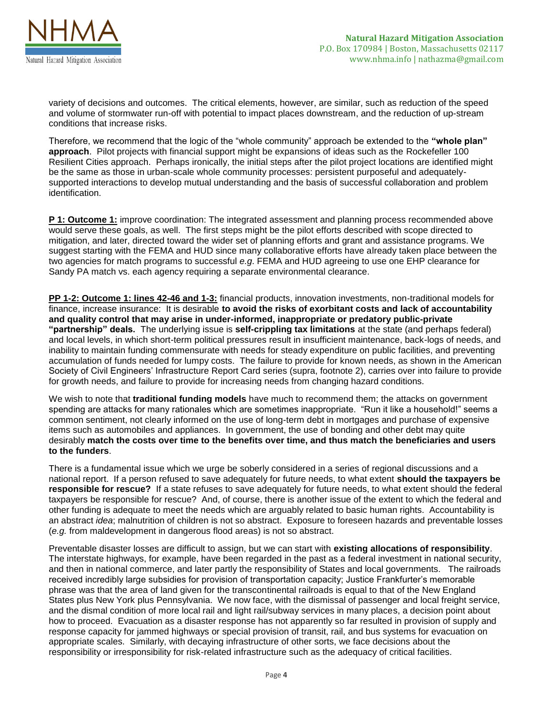

variety of decisions and outcomes. The critical elements, however, are similar, such as reduction of the speed and volume of stormwater run-off with potential to impact places downstream, and the reduction of up-stream conditions that increase risks.

Therefore, we recommend that the logic of the "whole community" approach be extended to the **"whole plan" approach**. Pilot projects with financial support might be expansions of ideas such as the Rockefeller 100 Resilient Cities approach. Perhaps ironically, the initial steps after the pilot project locations are identified might be the same as those in urban-scale whole community processes: persistent purposeful and adequatelysupported interactions to develop mutual understanding and the basis of successful collaboration and problem identification.

**P 1: Outcome 1:** improve coordination: The integrated assessment and planning process recommended above would serve these goals, as well. The first steps might be the pilot efforts described with scope directed to mitigation, and later, directed toward the wider set of planning efforts and grant and assistance programs. We suggest starting with the FEMA and HUD since many collaborative efforts have already taken place between the two agencies for match programs to successful *e.g*. FEMA and HUD agreeing to use one EHP clearance for Sandy PA match vs. each agency requiring a separate environmental clearance.

**PP 1-2: Outcome 1: lines 42-46 and 1-3:** financial products, innovation investments, non-traditional models for finance, increase insurance: It is desirable **to avoid the risks of exorbitant costs and lack of accountability and quality control that may arise in under-informed, inappropriate or predatory public-private "partnership" deals.** The underlying issue is **self-crippling tax limitations** at the state (and perhaps federal) and local levels, in which short-term political pressures result in insufficient maintenance, back-logs of needs, and inability to maintain funding commensurate with needs for steady expenditure on public facilities, and preventing accumulation of funds needed for lumpy costs. The failure to provide for known needs, as shown in the American Society of Civil Engineers' Infrastructure Report Card series (supra, footnote 2), carries over into failure to provide for growth needs, and failure to provide for increasing needs from changing hazard conditions.

We wish to note that **traditional funding models** have much to recommend them; the attacks on government spending are attacks for many rationales which are sometimes inappropriate. "Run it like a household!" seems a common sentiment, not clearly informed on the use of long-term debt in mortgages and purchase of expensive items such as automobiles and appliances. In government, the use of bonding and other debt may quite desirably **match the costs over time to the benefits over time, and thus match the beneficiaries and users to the funders**.

There is a fundamental issue which we urge be soberly considered in a series of regional discussions and a national report. If a person refused to save adequately for future needs, to what extent **should the taxpayers be responsible for rescue?** If a state refuses to save adequately for future needs, to what extent should the federal taxpayers be responsible for rescue? And, of course, there is another issue of the extent to which the federal and other funding is adequate to meet the needs which are arguably related to basic human rights. Accountability is an abstract *idea*; malnutrition of children is not so abstract. Exposure to foreseen hazards and preventable losses (*e.g.* from maldevelopment in dangerous flood areas) is not so abstract.

Preventable disaster losses are difficult to assign, but we can start with **existing allocations of responsibility**. The interstate highways, for example, have been regarded in the past as a federal investment in national security, and then in national commerce, and later partly the responsibility of States and local governments. The railroads received incredibly large subsidies for provision of transportation capacity; Justice Frankfurter's memorable phrase was that the area of land given for the transcontinental railroads is equal to that of the New England States plus New York plus Pennsylvania. We now face, with the dismissal of passenger and local freight service, and the dismal condition of more local rail and light rail/subway services in many places, a decision point about how to proceed. Evacuation as a disaster response has not apparently so far resulted in provision of supply and response capacity for jammed highways or special provision of transit, rail, and bus systems for evacuation on appropriate scales. Similarly, with decaying infrastructure of other sorts, we face decisions about the responsibility or irresponsibility for risk-related infrastructure such as the adequacy of critical facilities.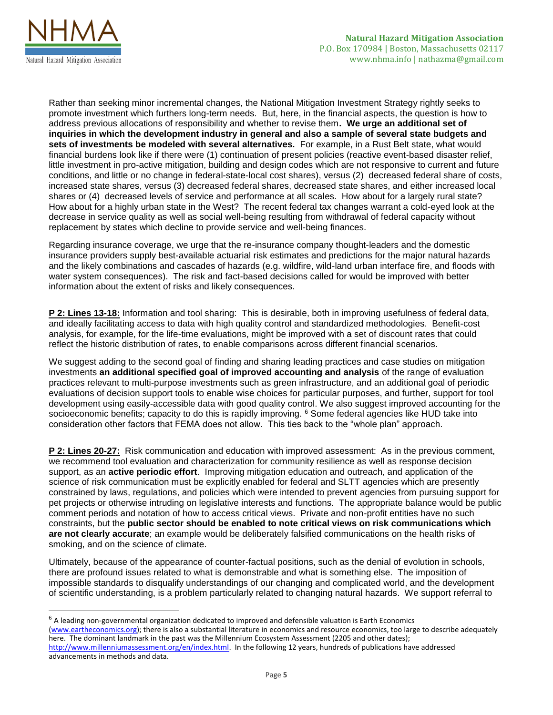

 $\overline{a}$ 

Rather than seeking minor incremental changes, the National Mitigation Investment Strategy rightly seeks to promote investment which furthers long-term needs. But, here, in the financial aspects, the question is how to address previous allocations of responsibility and whether to revise them**. We urge an additional set of inquiries in which the development industry in general and also a sample of several state budgets and sets of investments be modeled with several alternatives.** For example, in a Rust Belt state, what would financial burdens look like if there were (1) continuation of present policies (reactive event-based disaster relief, little investment in pro-active mitigation, building and design codes which are not responsive to current and future conditions, and little or no change in federal-state-local cost shares), versus (2) decreased federal share of costs, increased state shares, versus (3) decreased federal shares, decreased state shares, and either increased local shares or (4) decreased levels of service and performance at all scales. How about for a largely rural state? How about for a highly urban state in the West? The recent federal tax changes warrant a cold-eyed look at the decrease in service quality as well as social well-being resulting from withdrawal of federal capacity without replacement by states which decline to provide service and well-being finances.

Regarding insurance coverage, we urge that the re-insurance company thought-leaders and the domestic insurance providers supply best-available actuarial risk estimates and predictions for the major natural hazards and the likely combinations and cascades of hazards (e.g. wildfire, wild-land urban interface fire, and floods with water system consequences). The risk and fact-based decisions called for would be improved with better information about the extent of risks and likely consequences.

**P 2: Lines 13-18:** Information and tool sharing: This is desirable, both in improving usefulness of federal data, and ideally facilitating access to data with high quality control and standardized methodologies. Benefit-cost analysis, for example, for the life-time evaluations, might be improved with a set of discount rates that could reflect the historic distribution of rates, to enable comparisons across different financial scenarios.

We suggest adding to the second goal of finding and sharing leading practices and case studies on mitigation investments **an additional specified goal of improved accounting and analysis** of the range of evaluation practices relevant to multi-purpose investments such as green infrastructure, and an additional goal of periodic evaluations of decision support tools to enable wise choices for particular purposes, and further, support for tool development using easily-accessible data with good quality control. We also suggest improved accounting for the socioeconomic benefits; capacity to do this is rapidly improving. <sup>6</sup> Some federal agencies like HUD take into consideration other factors that FEMA does not allow. This ties back to the "whole plan" approach.

**P 2: Lines 20-27:** Risk communication and education with improved assessment: As in the previous comment, we recommend tool evaluation and characterization for community resilience as well as response decision support, as an **active periodic effort**. Improving mitigation education and outreach, and application of the science of risk communication must be explicitly enabled for federal and SLTT agencies which are presently constrained by laws, regulations, and policies which were intended to prevent agencies from pursuing support for pet projects or otherwise intruding on legislative interests and functions. The appropriate balance would be public comment periods and notation of how to access critical views. Private and non-profit entities have no such constraints, but the **public sector should be enabled to note critical views on risk communications which are not clearly accurate**; an example would be deliberately falsified communications on the health risks of smoking, and on the science of climate.

Ultimately, because of the appearance of counter-factual positions, such as the denial of evolution in schools, there are profound issues related to what is demonstrable and what is something else. The imposition of impossible standards to disqualify understandings of our changing and complicated world, and the development of scientific understanding, is a problem particularly related to changing natural hazards. We support referral to

 $6$  A leading non-governmental organization dedicated to improved and defensible valuation is Earth Economics [\(www.eartheconomics.org\)](http://www.eartheconomics.org/); there is also a substantial literature in economics and resource economics, too large to describe adequately here. The dominant landmark in the past was the Millennium Ecosystem Assessment (2205 and other dates); [http://www.millenniumassessment.org/en/index.html.](http://www.millenniumassessment.org/en/index.html) In the following 12 years, hundreds of publications have addressed advancements in methods and data.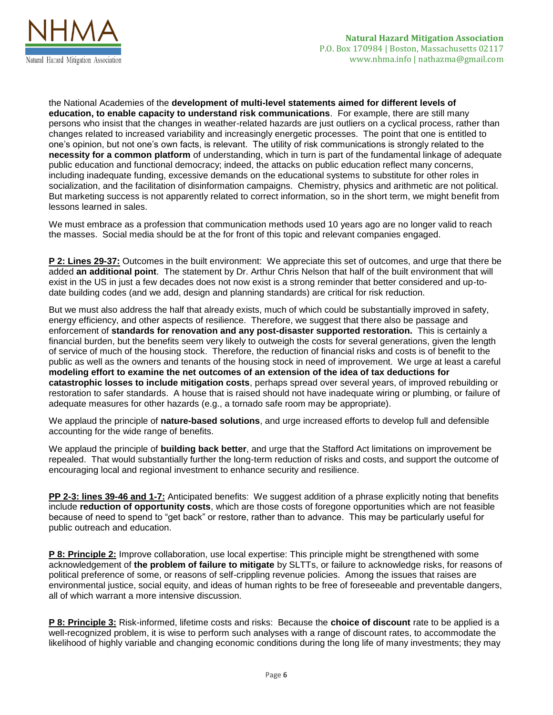

the National Academies of the **development of multi-level statements aimed for different levels of education, to enable capacity to understand risk communications**. For example, there are still many persons who insist that the changes in weather-related hazards are just outliers on a cyclical process, rather than changes related to increased variability and increasingly energetic processes. The point that one is entitled to one's opinion, but not one's own facts, is relevant. The utility of risk communications is strongly related to the **necessity for a common platform** of understanding, which in turn is part of the fundamental linkage of adequate public education and functional democracy; indeed, the attacks on public education reflect many concerns, including inadequate funding, excessive demands on the educational systems to substitute for other roles in socialization, and the facilitation of disinformation campaigns. Chemistry, physics and arithmetic are not political. But marketing success is not apparently related to correct information, so in the short term, we might benefit from lessons learned in sales.

We must embrace as a profession that communication methods used 10 years ago are no longer valid to reach the masses. Social media should be at the for front of this topic and relevant companies engaged.

**P 2: Lines 29-37:** Outcomes in the built environment: We appreciate this set of outcomes, and urge that there be added **an additional point**. The statement by Dr. Arthur Chris Nelson that half of the built environment that will exist in the US in just a few decades does not now exist is a strong reminder that better considered and up-todate building codes (and we add, design and planning standards) are critical for risk reduction.

But we must also address the half that already exists, much of which could be substantially improved in safety, energy efficiency, and other aspects of resilience. Therefore, we suggest that there also be passage and enforcement of **standards for renovation and any post-disaster supported restoration.** This is certainly a financial burden, but the benefits seem very likely to outweigh the costs for several generations, given the length of service of much of the housing stock. Therefore, the reduction of financial risks and costs is of benefit to the public as well as the owners and tenants of the housing stock in need of improvement. We urge at least a careful **modeling effort to examine the net outcomes of an extension of the idea of tax deductions for catastrophic losses to include mitigation costs**, perhaps spread over several years, of improved rebuilding or restoration to safer standards. A house that is raised should not have inadequate wiring or plumbing, or failure of adequate measures for other hazards (e.g., a tornado safe room may be appropriate).

We applaud the principle of **nature-based solutions**, and urge increased efforts to develop full and defensible accounting for the wide range of benefits.

We applaud the principle of **building back better**, and urge that the Stafford Act limitations on improvement be repealed. That would substantially further the long-term reduction of risks and costs, and support the outcome of encouraging local and regional investment to enhance security and resilience.

**PP 2-3: lines 39-46 and 1-7:** Anticipated benefits: We suggest addition of a phrase explicitly noting that benefits include **reduction of opportunity costs**, which are those costs of foregone opportunities which are not feasible because of need to spend to "get back" or restore, rather than to advance. This may be particularly useful for public outreach and education.

**P 8: Principle 2:** Improve collaboration, use local expertise: This principle might be strengthened with some acknowledgement of **the problem of failure to mitigate** by SLTTs, or failure to acknowledge risks, for reasons of political preference of some, or reasons of self-crippling revenue policies. Among the issues that raises are environmental justice, social equity, and ideas of human rights to be free of foreseeable and preventable dangers, all of which warrant a more intensive discussion.

**P 8: Principle 3:** Risk-informed, lifetime costs and risks: Because the **choice of discount** rate to be applied is a well-recognized problem, it is wise to perform such analyses with a range of discount rates, to accommodate the likelihood of highly variable and changing economic conditions during the long life of many investments; they may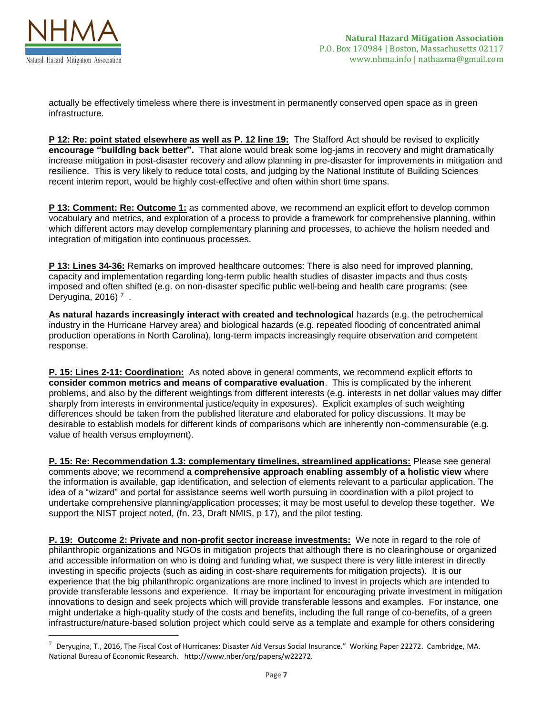

 $\overline{a}$ 

actually be effectively timeless where there is investment in permanently conserved open space as in green infrastructure.

**P 12: Re: point stated elsewhere as well as P. 12 line 19:** The Stafford Act should be revised to explicitly **encourage "building back better".** That alone would break some log-jams in recovery and might dramatically increase mitigation in post-disaster recovery and allow planning in pre-disaster for improvements in mitigation and resilience. This is very likely to reduce total costs, and judging by the National Institute of Building Sciences recent interim report, would be highly cost-effective and often within short time spans.

**P 13: Comment: Re: Outcome 1:** as commented above, we recommend an explicit effort to develop common vocabulary and metrics, and exploration of a process to provide a framework for comprehensive planning, within which different actors may develop complementary planning and processes, to achieve the holism needed and integration of mitigation into continuous processes.

**P 13: Lines 34-36:** Remarks on improved healthcare outcomes: There is also need for improved planning, capacity and implementation regarding long-term public health studies of disaster impacts and thus costs imposed and often shifted (e.g. on non-disaster specific public well-being and health care programs; (see Deryugina, 2016)  $^7$ .

**As natural hazards increasingly interact with created and technological** hazards (e.g. the petrochemical industry in the Hurricane Harvey area) and biological hazards (e.g. repeated flooding of concentrated animal production operations in North Carolina), long-term impacts increasingly require observation and competent response.

**P. 15: Lines 2-11: Coordination:** As noted above in general comments, we recommend explicit efforts to **consider common metrics and means of comparative evaluation**. This is complicated by the inherent problems, and also by the different weightings from different interests (e.g. interests in net dollar values may differ sharply from interests in environmental justice/equity in exposures). Explicit examples of such weighting differences should be taken from the published literature and elaborated for policy discussions. It may be desirable to establish models for different kinds of comparisons which are inherently non-commensurable (e.g. value of health versus employment).

**P. 15: Re: Recommendation 1.3: complementary timelines, streamlined applications:** Please see general comments above; we recommend **a comprehensive approach enabling assembly of a holistic view** where the information is available, gap identification, and selection of elements relevant to a particular application. The idea of a "wizard" and portal for assistance seems well worth pursuing in coordination with a pilot project to undertake comprehensive planning/application processes; it may be most useful to develop these together. We support the NIST project noted, (fn. 23, Draft NMIS, p 17), and the pilot testing.

**P. 19: Outcome 2: Private and non-profit sector increase investments:** We note in regard to the role of philanthropic organizations and NGOs in mitigation projects that although there is no clearinghouse or organized and accessible information on who is doing and funding what, we suspect there is very little interest in directly investing in specific projects (such as aiding in cost-share requirements for mitigation projects). It is our experience that the big philanthropic organizations are more inclined to invest in projects which are intended to provide transferable lessons and experience. It may be important for encouraging private investment in mitigation innovations to design and seek projects which will provide transferable lessons and examples. For instance, one might undertake a high-quality study of the costs and benefits, including the full range of co-benefits, of a green infrastructure/nature-based solution project which could serve as a template and example for others considering

 $^7$  Deryugina, T., 2016, The Fiscal Cost of Hurricanes: Disaster Aid Versus Social Insurance." Working Paper 22272. Cambridge, MA. National Bureau of Economic Research. [http://www.nber/org/papers/w22272.](http://www.nber/org/papers/w22272)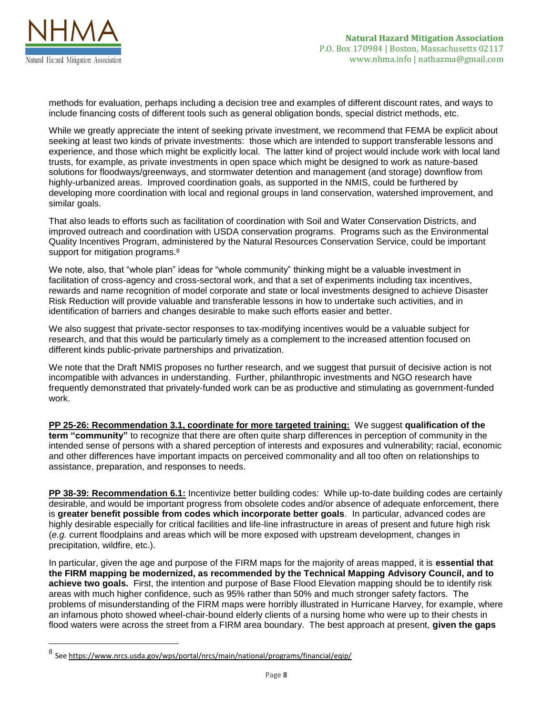

 $\overline{\phantom{a}}$ 

methods for evaluation, perhaps including a decision tree and examples of different discount rates, and ways to include financing costs of different tools such as general obligation bonds, special district methods, etc.

While we greatly appreciate the intent of seeking private investment, we recommend that FEMA be explicit about seeking at least two kinds of private investments: those which are intended to support transferable lessons and experience, and those which might be explicitly local. The latter kind of project would include work with local land trusts, for example, as private investments in open space which might be designed to work as nature-based solutions for floodways/greenways, and stormwater detention and management (and storage) downflow from highly-urbanized areas. Improved coordination goals, as supported in the NMIS, could be furthered by developing more coordination with local and regional groups in land conservation, watershed improvement, and similar goals.

That also leads to efforts such as facilitation of coordination with Soil and Water Conservation Districts, and improved outreach and coordination with USDA conservation programs. Programs such as the Environmental Quality Incentives Program, administered by the Natural Resources Conservation Service, could be important support for mitigation programs.<sup>8</sup>

We note, also, that "whole plan" ideas for "whole community" thinking might be a valuable investment in facilitation of cross-agency and cross-sectoral work, and that a set of experiments including tax incentives, rewards and name recognition of model corporate and state or local investments designed to achieve Disaster Risk Reduction will provide valuable and transferable lessons in how to undertake such activities, and in identification of barriers and changes desirable to make such efforts easier and better.

We also suggest that private-sector responses to tax-modifying incentives would be a valuable subject for research, and that this would be particularly timely as a complement to the increased attention focused on different kinds public-private partnerships and privatization.

We note that the Draft NMIS proposes no further research, and we suggest that pursuit of decisive action is not incompatible with advances in understanding. Further, philanthropic investments and NGO research have frequently demonstrated that privately-funded work can be as productive and stimulating as government-funded work.

**PP 25-26: Recommendation 3.1, coordinate for more targeted training:** We suggest **qualification of the term "community"** to recognize that there are often quite sharp differences in perception of community in the intended sense of persons with a shared perception of interests and exposures and vulnerability; racial, economic and other differences have important impacts on perceived commonality and all too often on relationships to assistance, preparation, and responses to needs.

**PP 38-39: Recommendation 6.1:** Incentivize better building codes: While up-to-date building codes are certainly desirable, and would be important progress from obsolete codes and/or absence of adequate enforcement, there is **greater benefit possible from codes which incorporate better goals**. In particular, advanced codes are highly desirable especially for critical facilities and life-line infrastructure in areas of present and future high risk (*e.g.* current floodplains and areas which will be more exposed with upstream development, changes in precipitation, wildfire, etc.).

In particular, given the age and purpose of the FIRM maps for the majority of areas mapped, it is **essential that the FIRM mapping be modernized, as recommended by the Technical Mapping Advisory Council, and to achieve two goals.** First, the intention and purpose of Base Flood Elevation mapping should be to identify risk areas with much higher confidence, such as 95% rather than 50% and much stronger safety factors. The problems of misunderstanding of the FIRM maps were horribly illustrated in Hurricane Harvey, for example, where an infamous photo showed wheel-chair-bound elderly clients of a nursing home who were up to their chests in flood waters were across the street from a FIRM area boundary. The best approach at present, **given the gaps** 

<sup>&</sup>lt;sup>8</sup> Se[e https://www.nrcs.usda.gov/wps/portal/nrcs/main/national/programs/financial/eqip/](https://www.nrcs.usda.gov/wps/portal/nrcs/main/national/programs/financial/eqip/)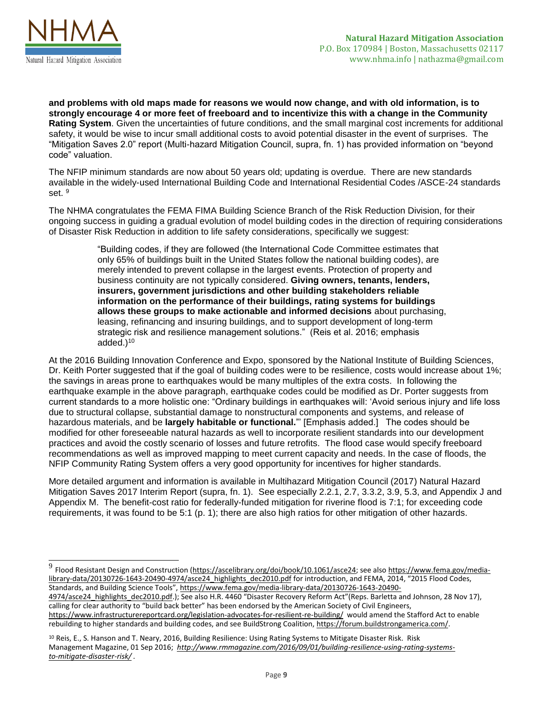

 $\overline{a}$ 

**and problems with old maps made for reasons we would now change, and with old information, is to strongly encourage 4 or more feet of freeboard and to incentivize this with a change in the Community Rating System**. Given the uncertainties of future conditions, and the small marginal cost increments for additional safety, it would be wise to incur small additional costs to avoid potential disaster in the event of surprises. The "Mitigation Saves 2.0" report (Multi-hazard Mitigation Council, supra, fn. 1) has provided information on "beyond code" valuation.

The NFIP minimum standards are now about 50 years old; updating is overdue. There are new standards available in the widely-used International Building Code and International Residential Codes /ASCE-24 standards set. 9

The NHMA congratulates the FEMA FIMA Building Science Branch of the Risk Reduction Division, for their ongoing success in guiding a gradual evolution of model building codes in the direction of requiring considerations of Disaster Risk Reduction in addition to life safety considerations, specifically we suggest:

> "Building codes, if they are followed (the International Code Committee estimates that only 65% of buildings built in the United States follow the national building codes), are merely intended to prevent collapse in the largest events. Protection of property and business continuity are not typically considered. **Giving owners, tenants, lenders, insurers, government jurisdictions and other building stakeholders reliable information on the performance of their buildings, rating systems for buildings allows these groups to make actionable and informed decisions** about purchasing, leasing, refinancing and insuring buildings, and to support development of long-term strategic risk and resilience management solutions." (Reis et al. 2016; emphasis added.)<sup>10</sup>

At the 2016 Building Innovation Conference and Expo, sponsored by the National Institute of Building Sciences, Dr. Keith Porter suggested that if the goal of building codes were to be resilience, costs would increase about 1%; the savings in areas prone to earthquakes would be many multiples of the extra costs. In following the earthquake example in the above paragraph, earthquake codes could be modified as Dr. Porter suggests from current standards to a more holistic one: "Ordinary buildings in earthquakes will: 'Avoid serious injury and life loss due to structural collapse, substantial damage to nonstructural components and systems, and release of hazardous materials, and be **largely habitable or functional.**"' [Emphasis added.] The codes should be modified for other foreseeable natural hazards as well to incorporate resilient standards into our development practices and avoid the costly scenario of losses and future retrofits. The flood case would specify freeboard recommendations as well as improved mapping to meet current capacity and needs. In the case of floods, the NFIP Community Rating System offers a very good opportunity for incentives for higher standards.

More detailed argument and information is available in Multihazard Mitigation Council (2017) Natural Hazard Mitigation Saves 2017 Interim Report (supra, fn. 1). See especially 2.2.1, 2.7, 3.3.2, 3.9, 5.3, and Appendix J and Appendix M. The benefit-cost ratio for federally-funded mitigation for riverine flood is 7:1; for exceeding code requirements, it was found to be 5:1 (p. 1); there are also high ratios for other mitigation of other hazards.

rebuilding to higher standards and building codes, and see BuildStrong Coalition[, https://forum.buildstrongamerica.com/.](https://forum.buildstrongamerica.com/)

<sup>9</sup> Flood Resistant Design and Construction [\(https://ascelibrary.org/doi/book/10.1061/asce24;](https://ascelibrary.org/doi/book/10.1061/asce24) see also [https://www.fema.gov/media](https://www.fema.gov/media-library-data/20130726-1643-20490-4974/asce24_highlights_dec2010.pdf)[library-data/20130726-1643-20490-4974/asce24\\_highlights\\_dec2010.pdf](https://www.fema.gov/media-library-data/20130726-1643-20490-4974/asce24_highlights_dec2010.pdf) for introduction, and FEMA, 2014, "2015 Flood Codes, Standards, and Building Science Tools", [https://www.fema.gov/media-library-data/20130726-1643-20490-](https://www.fema.gov/media-library-data/20130726-1643-20490-4974/asce24_highlights_dec2010.pdf)

<sup>4974/</sup>asce24 highlights dec2010.pdf.); See also H.R. 4460 "Disaster Recovery Reform Act"(Reps. Barletta and Johnson, 28 Nov 17), calling for clear authority to "build back better" has been endorsed by the American Society of Civil Engineers, <https://www.infrastructurereportcard.org/legislation-advocates-for-resilient-re-building/>would amend the Stafford Act to enable

<sup>&</sup>lt;sup>10</sup> Reis, E., S. Hanson and T. Neary, 2016, Building Resilience: Using Rating Systems to Mitigate Disaster Risk. Risk Management Magazine, 01 Sep 2016; *[http://www.rmmagazine.com/2016/09/01/building-resilience-using-rating-systems](http://www.rmmagazine.com/2016/09/01/building-resilience-using-rating-systems-to-mitigate-disaster-risk/)[to-mitigate-disaster-risk/](http://www.rmmagazine.com/2016/09/01/building-resilience-using-rating-systems-to-mitigate-disaster-risk/) .*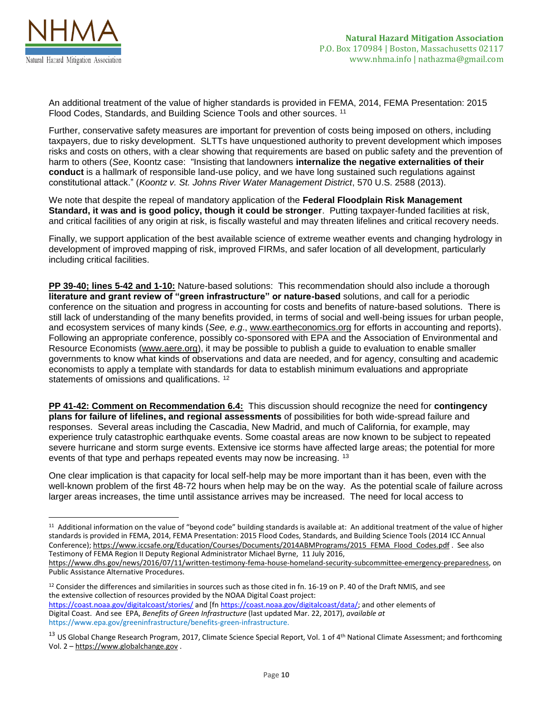

l

An additional treatment of the value of higher standards is provided in FEMA, 2014, FEMA Presentation: 2015 Flood Codes, Standards, and Building Science Tools and other sources. <sup>11</sup>

Further, conservative safety measures are important for prevention of costs being imposed on others, including taxpayers, due to risky development. SLTTs have unquestioned authority to prevent development which imposes risks and costs on others, with a clear showing that requirements are based on public safety and the prevention of harm to others (*See*, Koontz case: "Insisting that landowners **internalize the negative externalities of their conduct** is a hallmark of responsible land-use policy, and we have long sustained such regulations against constitutional attack." (*Koontz v. St. Johns River Water Management District*, 570 U.S. 2588 (2013).

We note that despite the repeal of mandatory application of the **Federal Floodplain Risk Management Standard, it was and is good policy, though it could be stronger**. Putting taxpayer-funded facilities at risk, and critical facilities of any origin at risk, is fiscally wasteful and may threaten lifelines and critical recovery needs.

Finally, we support application of the best available science of extreme weather events and changing hydrology in development of improved mapping of risk, improved FIRMs, and safer location of all development, particularly including critical facilities.

**PP 39-40; lines 5-42 and 1-10:** Nature-based solutions: This recommendation should also include a thorough **literature and grant review of "green infrastructure" or nature-based** solutions, and call for a periodic conference on the situation and progress in accounting for costs and benefits of nature-based solutions. There is still lack of understanding of the many benefits provided, in terms of social and well-being issues for urban people, and ecosystem services of many kinds (*See, e.g*., [www.eartheconomics.org](http://www.eartheconomics.org/) for efforts in accounting and reports). Following an appropriate conference, possibly co-sponsored with EPA and the Association of Environmental and Resource Economists [\(www.aere.org\)](http://www.aere.org/), it may be possible to publish a guide to evaluation to enable smaller governments to know what kinds of observations and data are needed, and for agency, consulting and academic economists to apply a template with standards for data to establish minimum evaluations and appropriate statements of omissions and qualifications.<sup>12</sup>

**PP 41-42: Comment on Recommendation 6.4:** This discussion should recognize the need for **contingency plans for failure of lifelines, and regional assessments** of possibilities for both wide-spread failure and responses. Several areas including the Cascadia, New Madrid, and much of California, for example, may experience truly catastrophic earthquake events. Some coastal areas are now known to be subject to repeated severe hurricane and storm surge events. Extensive ice storms have affected large areas; the potential for more events of that type and perhaps repeated events may now be increasing. <sup>13</sup>

One clear implication is that capacity for local self-help may be more important than it has been, even with the well-known problem of the first 48-72 hours when help may be on the way. As the potential scale of failure across larger areas increases, the time until assistance arrives may be increased. The need for local access to

<sup>&</sup>lt;sup>11</sup> Additional information on the value of "beyond code" building standards is available at: An additional treatment of the value of higher standards is provided in FEMA, 2014, FEMA Presentation: 2015 Flood Codes, Standards, and Building Science Tools (2014 ICC Annual Conference)[; https://www.iccsafe.org/Education/Courses/Documents/2014ABMPrograms/2015\\_FEMA\\_Flood\\_Codes.pdf](https://www.iccsafe.org/Education/Courses/Documents/2014ABMPrograms/2015_FEMA_Flood_Codes.pdf) . See also Testimony of FEMA Region II Deputy Regional Administrator Michael Byrne, 11 July 2016,

[https://www.dhs.gov/news/2016/07/11/written-testimony-fema-house-homeland-security-subcommittee-emergency-preparedness,](https://www.dhs.gov/news/2016/07/11/written-testimony-fema-house-homeland-security-subcommittee-emergency-preparedness) on Public Assistance Alternative Procedures.

<sup>&</sup>lt;sup>12</sup> Consider the differences and similarities in sources such as those cited in fn. 16-19 on P. 40 of the Draft NMIS, and see the extensive collection of resources provided by the NOAA Digital Coast project: <https://coast.noaa.gov/digitalcoast/stories/> and [f[n https://coast.noaa.gov/digitalcoast/data/;](https://coast.noaa.gov/digitalcoast/data/) and other elements of

Digital Coast. And see EPA, *Benefits of Green Infrastructure* (last updated Mar. 22, 2017), *available at*  https://www.epa.gov/greeninfrastructure/benefits-green-infrastructure.

<sup>&</sup>lt;sup>13</sup> US Global Change Research Program, 2017, Climate Science Special Report, Vol. 1 of 4<sup>th</sup> National Climate Assessment; and forthcoming Vol. 2 – [https://www.globalchange.gov](https://www.globalchange.gov/) .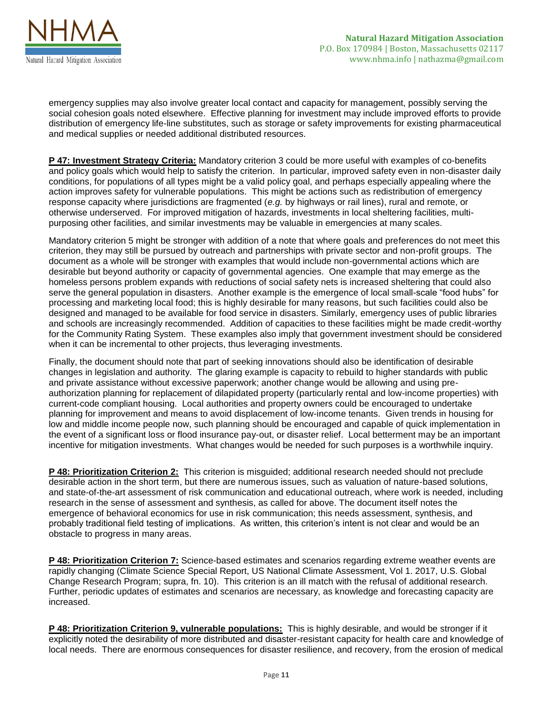

emergency supplies may also involve greater local contact and capacity for management, possibly serving the social cohesion goals noted elsewhere. Effective planning for investment may include improved efforts to provide distribution of emergency life-line substitutes, such as storage or safety improvements for existing pharmaceutical and medical supplies or needed additional distributed resources.

**P 47: Investment Strategy Criteria:** Mandatory criterion 3 could be more useful with examples of co-benefits and policy goals which would help to satisfy the criterion. In particular, improved safety even in non-disaster daily conditions, for populations of all types might be a valid policy goal, and perhaps especially appealing where the action improves safety for vulnerable populations. This might be actions such as redistribution of emergency response capacity where jurisdictions are fragmented (*e.g.* by highways or rail lines), rural and remote, or otherwise underserved. For improved mitigation of hazards, investments in local sheltering facilities, multipurposing other facilities, and similar investments may be valuable in emergencies at many scales.

Mandatory criterion 5 might be stronger with addition of a note that where goals and preferences do not meet this criterion, they may still be pursued by outreach and partnerships with private sector and non-profit groups. The document as a whole will be stronger with examples that would include non-governmental actions which are desirable but beyond authority or capacity of governmental agencies. One example that may emerge as the homeless persons problem expands with reductions of social safety nets is increased sheltering that could also serve the general population in disasters. Another example is the emergence of local small-scale "food hubs" for processing and marketing local food; this is highly desirable for many reasons, but such facilities could also be designed and managed to be available for food service in disasters. Similarly, emergency uses of public libraries and schools are increasingly recommended. Addition of capacities to these facilities might be made credit-worthy for the Community Rating System. These examples also imply that government investment should be considered when it can be incremental to other projects, thus leveraging investments.

Finally, the document should note that part of seeking innovations should also be identification of desirable changes in legislation and authority. The glaring example is capacity to rebuild to higher standards with public and private assistance without excessive paperwork; another change would be allowing and using preauthorization planning for replacement of dilapidated property (particularly rental and low-income properties) with current-code compliant housing. Local authorities and property owners could be encouraged to undertake planning for improvement and means to avoid displacement of low-income tenants. Given trends in housing for low and middle income people now, such planning should be encouraged and capable of quick implementation in the event of a significant loss or flood insurance pay-out, or disaster relief. Local betterment may be an important incentive for mitigation investments. What changes would be needed for such purposes is a worthwhile inquiry.

**P 48: Prioritization Criterion 2:** This criterion is misguided; additional research needed should not preclude desirable action in the short term, but there are numerous issues, such as valuation of nature-based solutions, and state-of-the-art assessment of risk communication and educational outreach, where work is needed, including research in the sense of assessment and synthesis, as called for above. The document itself notes the emergence of behavioral economics for use in risk communication; this needs assessment, synthesis, and probably traditional field testing of implications. As written, this criterion's intent is not clear and would be an obstacle to progress in many areas.

**P 48: Prioritization Criterion 7:** Science-based estimates and scenarios regarding extreme weather events are rapidly changing (Climate Science Special Report, US National Climate Assessment, Vol 1. 2017, U.S. Global Change Research Program; supra, fn. 10). This criterion is an ill match with the refusal of additional research. Further, periodic updates of estimates and scenarios are necessary, as knowledge and forecasting capacity are increased.

**P 48: Prioritization Criterion 9, vulnerable populations:** This is highly desirable, and would be stronger if it explicitly noted the desirability of more distributed and disaster-resistant capacity for health care and knowledge of local needs. There are enormous consequences for disaster resilience, and recovery, from the erosion of medical